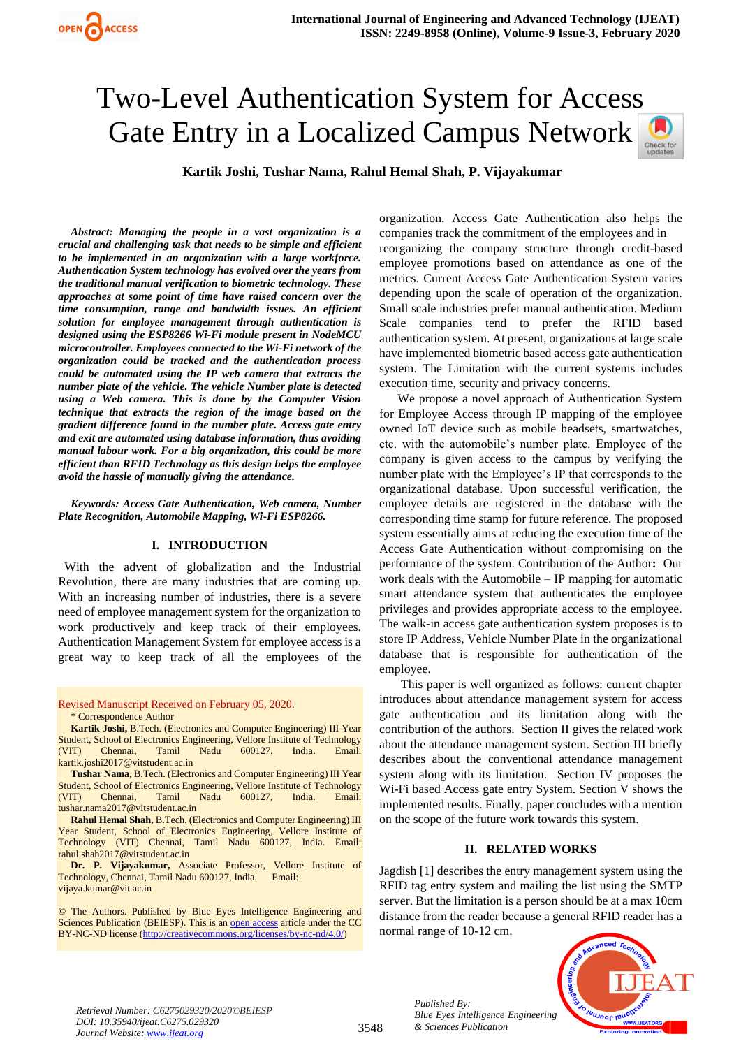# Two-Level Authentication System for Access Gate Entry in a Localized Campus Network



**Kartik Joshi, Tushar Nama, Rahul Hemal Shah, P. Vijayakumar**

*Abstract: Managing the people in a vast organization is a crucial and challenging task that needs to be simple and efficient to be implemented in an organization with a large workforce. Authentication System technology has evolved over the years from the traditional manual verification to biometric technology. These approaches at some point of time have raised concern over the time consumption, range and bandwidth issues. An efficient solution for employee management through authentication is designed using the ESP8266 Wi-Fi module present in NodeMCU microcontroller. Employees connected to the Wi-Fi network of the organization could be tracked and the authentication process could be automated using the IP web camera that extracts the number plate of the vehicle. The vehicle Number plate is detected using a Web camera. This is done by the Computer Vision technique that extracts the region of the image based on the gradient difference found in the number plate. Access gate entry and exit are automated using database information, thus avoiding manual labour work. For a big organization, this could be more efficient than RFID Technology as this design helps the employee avoid the hassle of manually giving the attendance.*

*Keywords: Access Gate Authentication, Web camera, Number Plate Recognition, Automobile Mapping, Wi-Fi ESP8266.*

## **I. INTRODUCTION**

 With the advent of globalization and the Industrial Revolution, there are many industries that are coming up. With an increasing number of industries, there is a severe need of employee management system for the organization to work productively and keep track of their employees. Authentication Management System for employee access is a great way to keep track of all the employees of the

Revised Manuscript Received on February 05, 2020. \* Correspondence Author

**Kartik Joshi,** B.Tech. (Electronics and Computer Engineering) III Year Student, School of Electronics Engineering, Vellore Institute of Technology (VIT) Chennai, Tamil Nadu 600127, India. Email: kartik.joshi2017@vitstudent.ac.in

**Tushar Nama,** B.Tech. (Electronics and Computer Engineering) III Year Student, School of Electronics Engineering, Vellore Institute of Technology (VIT) Chennai, Tamil Nadu 600127, India. Email: tushar.nama2017@vitstudent.ac.in

**Rahul Hemal Shah,** B.Tech. (Electronics and Computer Engineering) III Year Student, School of Electronics Engineering, Vellore Institute of Technology (VIT) Chennai, Tamil Nadu 600127, India. Email: rahul.shah2017@vitstudent.ac.in

**Dr. P. Vijayakumar,** Associate Professor, Vellore Institute of Technology, Chennai, Tamil Nadu 600127, India. Email: vijaya.kumar@vit.ac.in

© The Authors. Published by Blue Eyes Intelligence Engineering and Sciences Publication (BEIESP). This is a[n open access](https://www.openaccess.nl/en/open-publications) article under the CC BY-NC-ND license [\(http://creativecommons.org/licenses/by-nc-nd/4.0/\)](http://creativecommons.org/licenses/by-nc-nd/4.0/)

organization. Access Gate Authentication also helps the companies track the commitment of the employees and in reorganizing the company structure through credit-based employee promotions based on attendance as one of the metrics. Current Access Gate Authentication System varies depending upon the scale of operation of the organization. Small scale industries prefer manual authentication. Medium Scale companies tend to prefer the RFID based authentication system. At present, organizations at large scale have implemented biometric based access gate authentication system. The Limitation with the current systems includes execution time, security and privacy concerns.

 We propose a novel approach of Authentication System for Employee Access through IP mapping of the employee owned IoT device such as mobile headsets, smartwatches, etc. with the automobile's number plate. Employee of the company is given access to the campus by verifying the number plate with the Employee's IP that corresponds to the organizational database. Upon successful verification, the employee details are registered in the database with the corresponding time stamp for future reference. The proposed system essentially aims at reducing the execution time of the Access Gate Authentication without compromising on the performance of the system. Contribution of the Author**:** Our work deals with the Automobile – IP mapping for automatic smart attendance system that authenticates the employee privileges and provides appropriate access to the employee. The walk-in access gate authentication system proposes is to store IP Address, Vehicle Number Plate in the organizational database that is responsible for authentication of the employee.

 This paper is well organized as follows: current chapter introduces about attendance management system for access gate authentication and its limitation along with the contribution of the authors. Section II gives the related work about the attendance management system. Section III briefly describes about the conventional attendance management system along with its limitation. Section IV proposes the Wi-Fi based Access gate entry System. Section V shows the implemented results. Finally, paper concludes with a mention on the scope of the future work towards this system.

## **II. RELATED WORKS**

Jagdish [1] describes the entry management system using the RFID tag entry system and mailing the list using the SMTP server. But the limitation is a person should be at a max 10cm distance from the reader because a general RFID reader has a normal range of 10-12 cm.



*Published By: Blue Eyes Intelligence Engineering & Sciences Publication*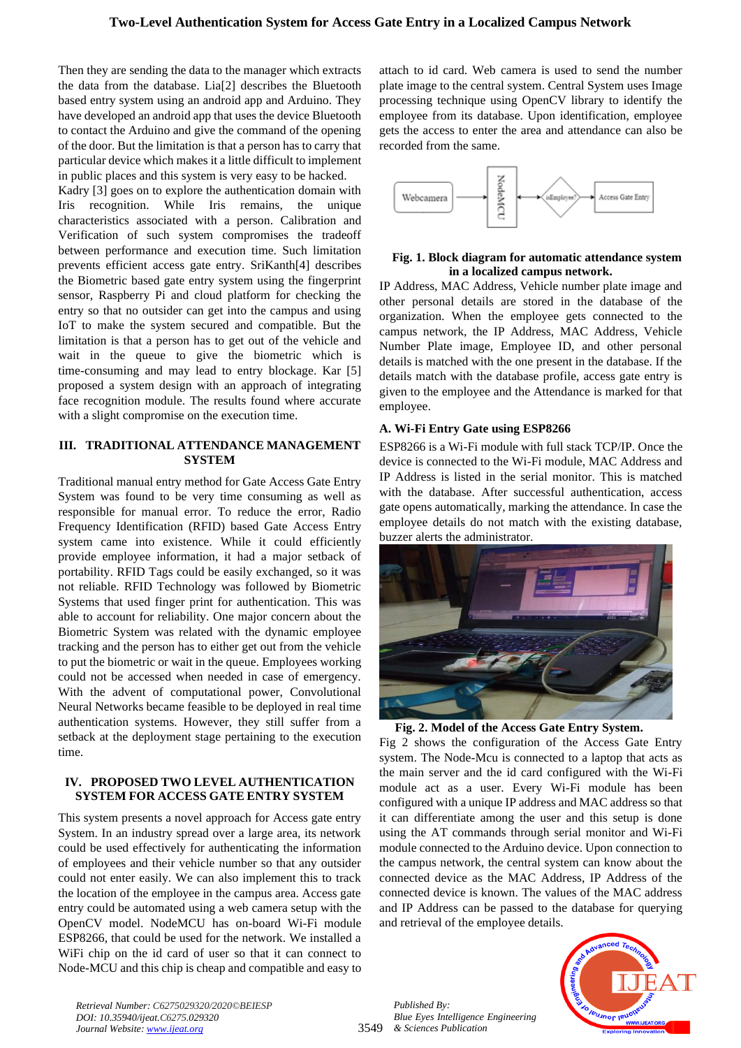Then they are sending the data to the manager which extracts the data from the database. Lia[2] describes the Bluetooth based entry system using an android app and Arduino. They have developed an android app that uses the device Bluetooth to contact the Arduino and give the command of the opening of the door. But the limitation is that a person has to carry that particular device which makes it a little difficult to implement in public places and this system is very easy to be hacked.

Kadry [3] goes on to explore the authentication domain with Iris recognition. While Iris remains, the unique characteristics associated with a person. Calibration and Verification of such system compromises the tradeoff between performance and execution time. Such limitation prevents efficient access gate entry. SriKanth[4] describes the Biometric based gate entry system using the fingerprint sensor, Raspberry Pi and cloud platform for checking the entry so that no outsider can get into the campus and using IoT to make the system secured and compatible. But the limitation is that a person has to get out of the vehicle and wait in the queue to give the biometric which is time-consuming and may lead to entry blockage. Kar [5] proposed a system design with an approach of integrating face recognition module. The results found where accurate with a slight compromise on the execution time.

### **III. TRADITIONAL ATTENDANCE MANAGEMENT SYSTEM**

Traditional manual entry method for Gate Access Gate Entry System was found to be very time consuming as well as responsible for manual error. To reduce the error, Radio Frequency Identification (RFID) based Gate Access Entry system came into existence. While it could efficiently provide employee information, it had a major setback of portability. RFID Tags could be easily exchanged, so it was not reliable. RFID Technology was followed by Biometric Systems that used finger print for authentication. This was able to account for reliability. One major concern about the Biometric System was related with the dynamic employee tracking and the person has to either get out from the vehicle to put the biometric or wait in the queue. Employees working could not be accessed when needed in case of emergency. With the advent of computational power, Convolutional Neural Networks became feasible to be deployed in real time authentication systems. However, they still suffer from a setback at the deployment stage pertaining to the execution time.

# **IV. PROPOSED TWO LEVEL AUTHENTICATION SYSTEM FOR ACCESS GATE ENTRY SYSTEM**

This system presents a novel approach for Access gate entry System. In an industry spread over a large area, its network could be used effectively for authenticating the information of employees and their vehicle number so that any outsider could not enter easily. We can also implement this to track the location of the employee in the campus area. Access gate entry could be automated using a web camera setup with the OpenCV model. NodeMCU has on-board Wi-Fi module ESP8266, that could be used for the network. We installed a WiFi chip on the id card of user so that it can connect to Node-MCU and this chip is cheap and compatible and easy to

attach to id card. Web camera is used to send the number plate image to the central system. Central System uses Image processing technique using OpenCV library to identify the employee from its database. Upon identification, employee gets the access to enter the area and attendance can also be recorded from the same.



# **Fig. 1. Block diagram for automatic attendance system in a localized campus network.**

IP Address, MAC Address, Vehicle number plate image and other personal details are stored in the database of the organization. When the employee gets connected to the campus network, the IP Address, MAC Address, Vehicle Number Plate image, Employee ID, and other personal details is matched with the one present in the database. If the details match with the database profile, access gate entry is given to the employee and the Attendance is marked for that employee.

# **A. Wi-Fi Entry Gate using ESP8266**

ESP8266 is a Wi-Fi module with full stack TCP/IP. Once the device is connected to the Wi-Fi module, MAC Address and IP Address is listed in the serial monitor. This is matched with the database. After successful authentication, access gate opens automatically, marking the attendance. In case the employee details do not match with the existing database, buzzer alerts the administrator.



 **Fig. 2. Model of the Access Gate Entry System.** 

Fig 2 shows the configuration of the Access Gate Entry system. The Node-Mcu is connected to a laptop that acts as the main server and the id card configured with the Wi-Fi module act as a user. Every Wi-Fi module has been configured with a unique IP address and MAC address so that it can differentiate among the user and this setup is done using the AT commands through serial monitor and Wi-Fi module connected to the Arduino device. Upon connection to the campus network, the central system can know about the connected device as the MAC Address, IP Address of the connected device is known. The values of the MAC address and IP Address can be passed to the database for querying and retrieval of the employee details.



*Retrieval Number: C6275029320/2020©BEIESP DOI: 10.35940/ijeat.C6275.029320 Journal Website[: www.ijeat.org](http://www.ijeat.org/)*

3549 *Published By: Blue Eyes Intelligence Engineering & Sciences Publication*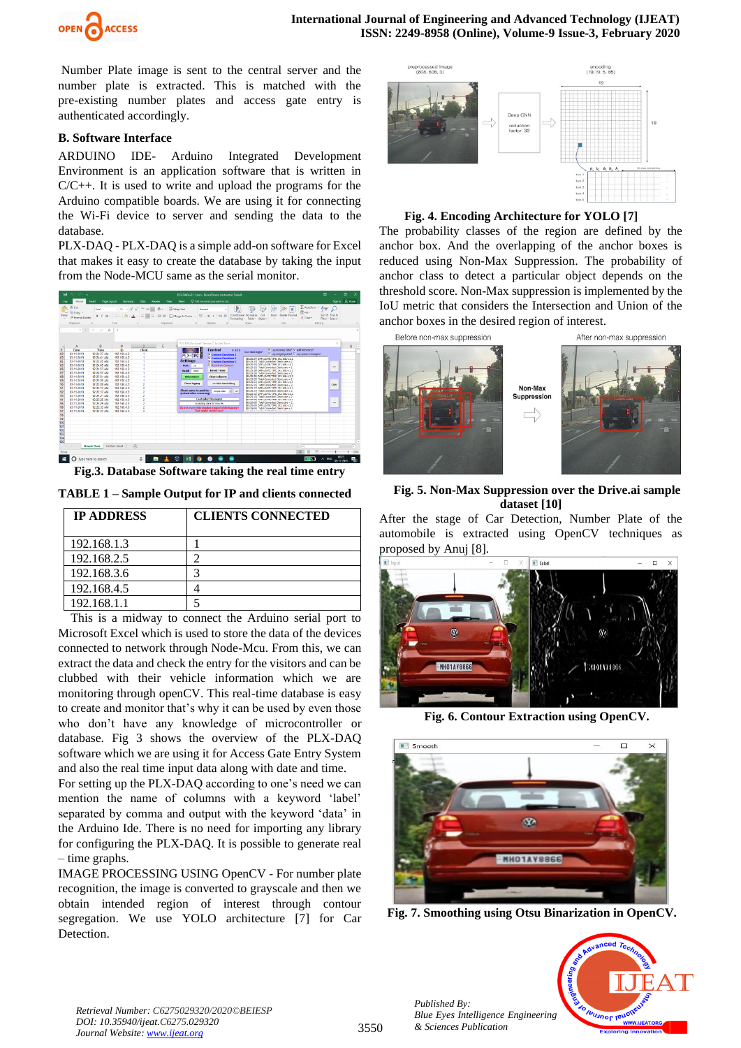

Number Plate image is sent to the central server and the number plate is extracted. This is matched with the pre-existing number plates and access gate entry is authenticated accordingly.

## **B. Software Interface**

ARDUINO IDE*-* Arduino Integrated Development Environment is an application software that is written in C/C++. It is used to write and upload the programs for the Arduino compatible boards. We are using it for connecting the Wi-Fi device to server and sending the data to the database.

PLX-DAQ - PLX-DAQ is a simple add-on software for Excel that makes it easy to create the database by taking the input from the Node-MCU same as the serial monitor.



**Fig.3. Database Software taking the real time entry**

**TABLE 1 – Sample Output for IP and clients connected**

| <b>IP ADDRESS</b> | <b>CLIENTS CONNECTED</b> |
|-------------------|--------------------------|
| 192.168.1.3       |                          |
| 192.168.2.5       |                          |
| 192.168.3.6       |                          |
| 192.168.4.5       |                          |
| 192.168.1.1       |                          |

 This is a midway to connect the Arduino serial port to Microsoft Excel which is used to store the data of the devices connected to network through Node-Mcu. From this, we can extract the data and check the entry for the visitors and can be clubbed with their vehicle information which we are monitoring through openCV. This real-time database is easy to create and monitor that's why it can be used by even those who don't have any knowledge of microcontroller or database. Fig 3 shows the overview of the PLX-DAQ software which we are using it for Access Gate Entry System and also the real time input data along with date and time.

For setting up the PLX-DAQ according to one's need we can mention the name of columns with a keyword 'label' separated by comma and output with the keyword 'data' in the Arduino Ide. There is no need for importing any library for configuring the PLX-DAQ. It is possible to generate real – time graphs.

IMAGE PROCESSING USING OpenCV - For number plate recognition, the image is converted to grayscale and then we obtain intended region of interest through contour segregation. We use YOLO architecture [7] for Car Detection.



### **Fig. 4. Encoding Architecture for YOLO [7]**

The probability classes of the region are defined by the anchor box. And the overlapping of the anchor boxes is reduced using Non-Max Suppression. The probability of anchor class to detect a particular object depends on the threshold score. Non-Max suppression is implemented by the IoU metric that considers the Intersection and Union of the anchor boxes in the desired region of interest.



**Fig. 5. Non-Max Suppression over the Drive.ai sample dataset [10]**

After the stage of Car Detection, Number Plate of the automobile is extracted using OpenCV techniques as proposed by Anuj [8].



**Fig. 6. Contour Extraction using OpenCV.**



**Fig. 7. Smoothing using Otsu Binarization in OpenCV.**



*Retrieval Number: C6275029320/2020©BEIESP DOI: 10.35940/ijeat.C6275.029320 Journal Website[: www.ijeat.org](http://www.ijeat.org/)*

*Published By:*

*& Sciences Publication*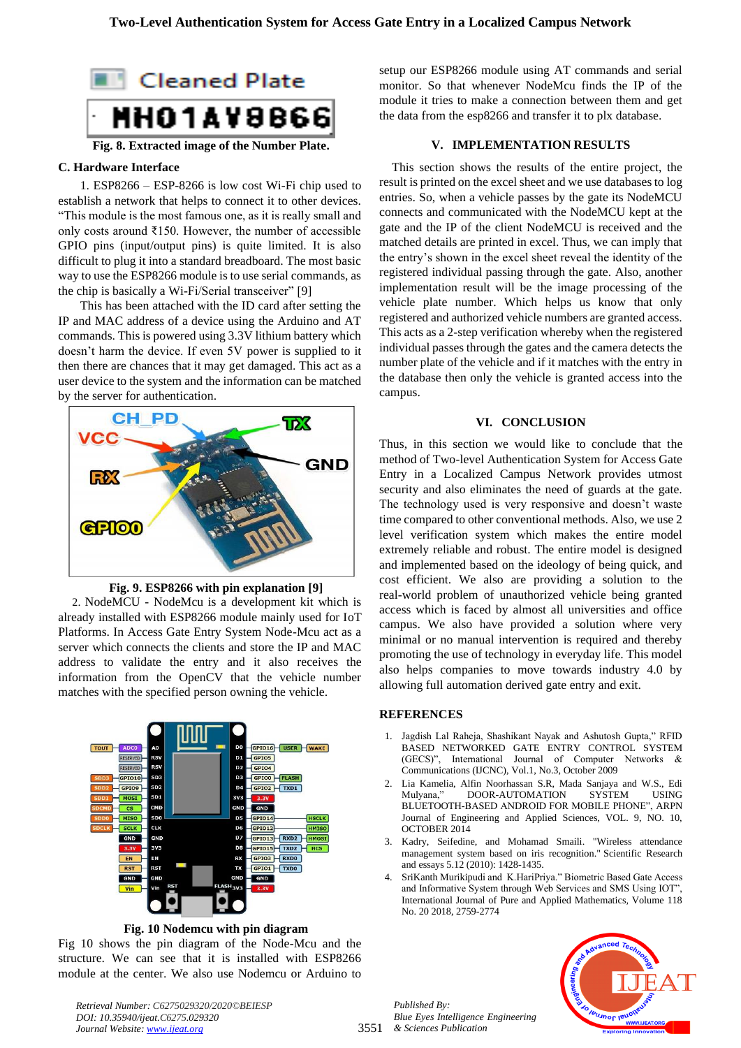

# **Fig. 8. Extracted image of the Number Plate.**

### **C. Hardware Interface**

 1. ESP8266 *–* ESP-8266 is low cost Wi-Fi chip used to establish a network that helps to connect it to other devices. "This module is the most famous one, as it is really small and only costs around ₹150. However, the number of accessible GPIO pins (input/output pins) is quite limited. It is also difficult to plug it into a standard breadboard. The most basic way to use the ESP8266 module is to use serial commands, as the chip is basically a Wi-Fi/Serial transceiver" [9]

 This has been attached with the ID card after setting the IP and MAC address of a device using the Arduino and AT commands. This is powered using 3.3V lithium battery which doesn't harm the device. If even 5V power is supplied to it then there are chances that it may get damaged. This act as a user device to the system and the information can be matched by the server for authentication.



#### **Fig. 9. ESP8266 with pin explanation [9]**

 2. NodeMCU - NodeMcu is a development kit which is already installed with ESP8266 module mainly used for IoT Platforms. In Access Gate Entry System Node-Mcu act as a server which connects the clients and store the IP and MAC address to validate the entry and it also receives the information from the OpenCV that the vehicle number matches with the specified person owning the vehicle.



**Fig. 10 Nodemcu with pin diagram**

Fig 10 shows the pin diagram of the Node-Mcu and the structure. We can see that it is installed with ESP8266 module at the center. We also use Nodemcu or Arduino to

*Retrieval Number: C6275029320/2020©BEIESP DOI: 10.35940/ijeat.C6275.029320 Journal Website[: www.ijeat.org](http://www.ijeat.org/)*

setup our ESP8266 module using AT commands and serial monitor. So that whenever NodeMcu finds the IP of the module it tries to make a connection between them and get the data from the esp8266 and transfer it to plx database.

#### **V. IMPLEMENTATION RESULTS**

 This section shows the results of the entire project, the result is printed on the excel sheet and we use databases to log entries. So, when a vehicle passes by the gate its NodeMCU connects and communicated with the NodeMCU kept at the gate and the IP of the client NodeMCU is received and the matched details are printed in excel. Thus, we can imply that the entry's shown in the excel sheet reveal the identity of the registered individual passing through the gate. Also, another implementation result will be the image processing of the vehicle plate number. Which helps us know that only registered and authorized vehicle numbers are granted access. This acts as a 2-step verification whereby when the registered individual passes through the gates and the camera detects the number plate of the vehicle and if it matches with the entry in the database then only the vehicle is granted access into the campus.

#### **VI. CONCLUSION**

Thus, in this section we would like to conclude that the method of Two-level Authentication System for Access Gate Entry in a Localized Campus Network provides utmost security and also eliminates the need of guards at the gate. The technology used is very responsive and doesn't waste time compared to other conventional methods. Also, we use 2 level verification system which makes the entire model extremely reliable and robust. The entire model is designed and implemented based on the ideology of being quick, and cost efficient. We also are providing a solution to the real-world problem of unauthorized vehicle being granted access which is faced by almost all universities and office campus. We also have provided a solution where very minimal or no manual intervention is required and thereby promoting the use of technology in everyday life. This model also helps companies to move towards industry 4.0 by allowing full automation derived gate entry and exit.

#### **REFERENCES**

- 1. Jagdish Lal Raheja, Shashikant Nayak and Ashutosh Gupta," RFID BASED NETWORKED GATE ENTRY CONTROL SYSTEM (GECS)", International Journal of Computer Networks & Communications (IJCNC), Vol.1, No.3, October 2009
- 2. Lia Kamelia, Alfin Noorhassan S.R, Mada Sanjaya and W.S., Edi DOOR-AUTOMATION SYSTEM USING BLUETOOTH-BASED ANDROID FOR MOBILE PHONE", ARPN Journal of Engineering and Applied Sciences, VOL. 9, NO. 10, OCTOBER 2014
- 3. Kadry, Seifedine, and Mohamad Smaili. "Wireless attendance management system based on iris recognition." Scientific Research and essays 5.12 (2010): 1428-1435.
- 4. SriKanth Murikipudi and K.HariPriya." Biometric Based Gate Access and Informative System through Web Services and SMS Using IOT", International Journal of Pure and Applied Mathematics, Volume 118 No. 20 2018, 2759-2774



3551 *& Sciences Publication Published By: Blue Eyes Intelligence Engineering*